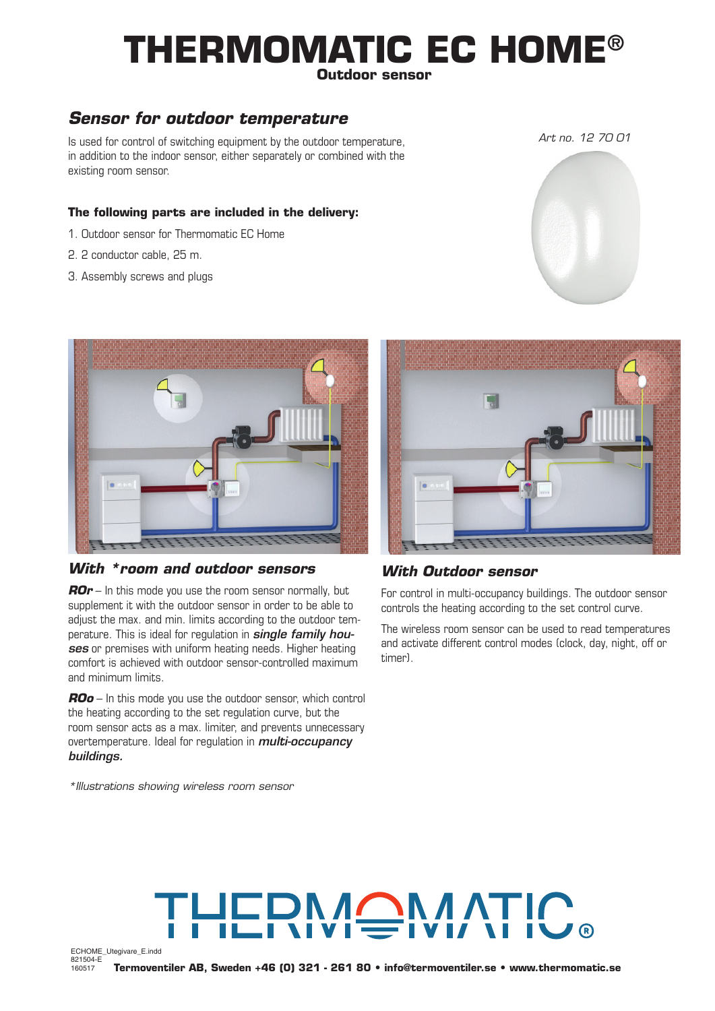# **THERMOMATIC EC HOME® Outdoor sensor**

### *Sensor for outdoor temperature*

Is used for control of switching equipment by the outdoor temperature, in addition to the indoor sensor, either separately or combined with the existing room sensor.

### **The following parts are included in the delivery:**

- 1. Outdoor sensor for Thermomatic EC Home
- 2. 2 conductor cable, 25 m.
- 3. Assembly screws and plugs



#### *With \*room and outdoor sensors*

*ROr* – In this mode you use the room sensor normally, but supplement it with the outdoor sensor in order to be able to adjust the max. and min. limits according to the outdoor temperature. This is ideal for regulation in *single family houses* or premises with uniform heating needs. Higher heating comfort is achieved with outdoor sensor-controlled maximum and minimum limits.

*ROo* – In this mode you use the outdoor sensor, which control the heating according to the set regulation curve, but the room sensor acts as a max. limiter, and prevents unnecessary overtemperature. Ideal for regulation in *multi-occupancy buildings.*

*\*Illustrations showing wireless room sensor*



### *With Outdoor sensor*

For control in multi-occupancy buildings. The outdoor sensor controls the heating according to the set control curve.

The wireless room sensor can be used to read temperatures and activate different control modes (clock, day, night, off or timer).

# HERMOMATI

ECHOME\_Utegivare\_E.indd 821504-E 160517

**Termoventiler AB, Sweden +46 (0) 321 - 261 80 • info@termoventiler.se • www.thermomatic.se**